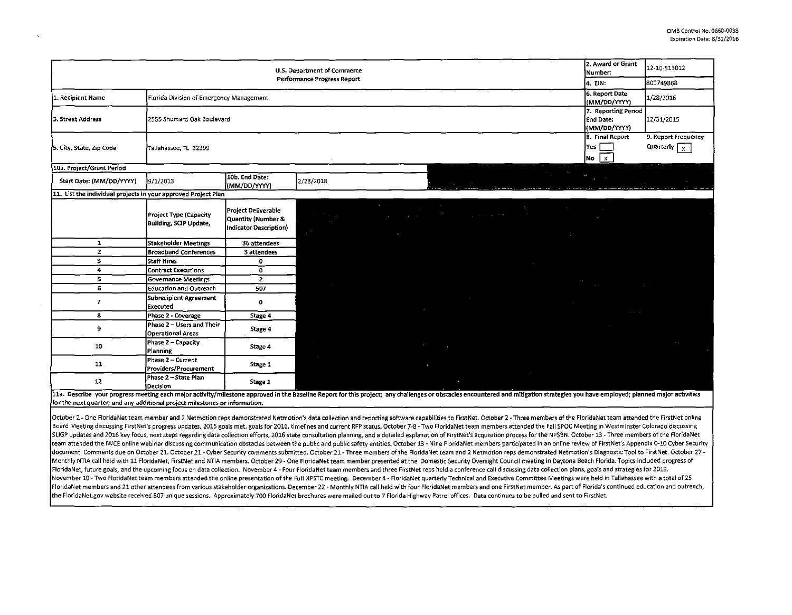| U.S. Department of Commerce                                    |                                                       |                                                                     |                                             |                                                                                                                                                                                                      |                         |                        |                                              | 2. Award or Grant<br>Number: | 12-10-513012                                            |                                                               |
|----------------------------------------------------------------|-------------------------------------------------------|---------------------------------------------------------------------|---------------------------------------------|------------------------------------------------------------------------------------------------------------------------------------------------------------------------------------------------------|-------------------------|------------------------|----------------------------------------------|------------------------------|---------------------------------------------------------|---------------------------------------------------------------|
| Performance Progress Report                                    |                                                       |                                                                     |                                             |                                                                                                                                                                                                      |                         |                        |                                              |                              |                                                         | 800749868                                                     |
| 1. Recipient Name                                              | Florida Division of Emergency Management              |                                                                     |                                             |                                                                                                                                                                                                      |                         |                        |                                              |                              | 6. Report Date<br>(MM/DD/YYYY)                          | 1/28/2016                                                     |
| 3. Street Address                                              | 2555 Shumard Oak Boulevard                            |                                                                     |                                             |                                                                                                                                                                                                      |                         |                        |                                              |                              | 7. Reporting Period<br><b>End Date:</b><br>(MM/DD/YYYY) | 12/31/2015                                                    |
| 5. City, State, Zip Code                                       | Tallahassee, FL 32399                                 |                                                                     |                                             |                                                                                                                                                                                                      |                         |                        |                                              |                              | 8. Final Report<br>Yes  <br>∤ x∣<br>No                  | 9. Report Frequency<br>Quarterly $\sqrt{x}$                   |
| 10a. Project/Grant Period                                      |                                                       |                                                                     |                                             |                                                                                                                                                                                                      |                         |                        |                                              |                              |                                                         |                                                               |
| Start Date: (MM/DD/YYYY)                                       | 9/1/2013                                              | 10b. End Date:<br>(MM/DD/YYYY)                                      | 2/28/2018                                   |                                                                                                                                                                                                      | We have a state         |                        |                                              | <u> Alban masara</u>         |                                                         |                                                               |
| 11. List the individual projects in your approved Project Plan |                                                       |                                                                     |                                             |                                                                                                                                                                                                      |                         |                        |                                              |                              |                                                         |                                                               |
|                                                                | Project Type (Capacity<br>Building, SCIP Update,      | Project Deliverable<br>Quantity (Number &<br>Indicator Description) | $\mathcal{L}^{(1)}$ and $\mathcal{L}^{(2)}$ | <u> 1989 - Johann Barn, mars et al. (b. 1989)</u><br>a contra la contra la contra la contra la contra la contra la contra la contra la contra la contra la contra l<br>$\mathcal{A}_{\mathcal{A}}$ . | and the state of        |                        | <u>a salah sahiji désa di kacamatan Suma</u> |                              |                                                         |                                                               |
| $\mathbf{1}$                                                   | <b>Stakeholder Meetings</b>                           | 36 attendees                                                        |                                             |                                                                                                                                                                                                      |                         |                        |                                              |                              |                                                         |                                                               |
| $\mathbf{z}$                                                   | <b>Broadband Conferences</b>                          | 3 attendees                                                         |                                             |                                                                                                                                                                                                      |                         |                        |                                              |                              |                                                         |                                                               |
| $\overline{\mathbf{3}}$                                        | Staff Hires                                           | 0                                                                   |                                             |                                                                                                                                                                                                      |                         |                        |                                              |                              |                                                         |                                                               |
| 4                                                              | <b>Contract Executions</b>                            | $\mathbf{o}$                                                        |                                             |                                                                                                                                                                                                      |                         |                        |                                              |                              |                                                         |                                                               |
| s.                                                             | <b>Governance Meetings</b>                            | $\overline{2}$                                                      |                                             |                                                                                                                                                                                                      |                         |                        |                                              |                              | the contract of the contract of                         |                                                               |
| 6                                                              | <b>Education and Outreach</b>                         | 507                                                                 |                                             |                                                                                                                                                                                                      |                         |                        |                                              |                              |                                                         | <b>Contract Contract</b>                                      |
| $\mathbf{7}$                                                   | Subrecipient Agreement<br><b>Executed</b>             | $\mathbf 0$                                                         |                                             |                                                                                                                                                                                                      |                         | and the control of the | <b>Contractor</b>                            | and the control of           |                                                         |                                                               |
| $\mathbf{8}$                                                   | Phase 2 - Coverage                                    | Stage 4                                                             |                                             |                                                                                                                                                                                                      |                         |                        |                                              |                              |                                                         | the contract of the contract of the con-<br><b>Contractor</b> |
| 9                                                              | Phase 2 - Users and Their<br><b>Operational Areas</b> | Stage 4                                                             |                                             |                                                                                                                                                                                                      |                         |                        |                                              |                              |                                                         |                                                               |
| 10                                                             | Phase 2 - Capacity<br><b>Planning</b>                 | Stage 4                                                             | $\sim 10^{-10}$                             |                                                                                                                                                                                                      | <u> a shekara ta 19</u> |                        |                                              |                              |                                                         | $\sim 10^{-1}$                                                |
| 11                                                             | Phase 2 - Current<br>Providers/Procurement            | Stage 1                                                             | $\sim 10^{-11}$                             |                                                                                                                                                                                                      | <b>College College</b>  |                        |                                              |                              |                                                         |                                                               |
| 12                                                             | Phase 2 - State Plan<br>Decision                      | Stage 1                                                             |                                             |                                                                                                                                                                                                      |                         |                        |                                              |                              |                                                         |                                                               |

11a. Describe your progress meeting each major activity/milestone approved in the Baseline Report for this project; any challenges or obstacles encountered and mitigation strategies you have employed; planned major activit for the next quarter; and any additional project milestones or information.

October 2 - One Florida Net team member and 2 Netmotion reps demonstrated Netmotion's data collection and reporting software capabilities to FirstNet. October 2 - Three members of the FloridaNet team attended the FirstNet Board Meeting discussing FirstNet's progress updates, 2015 goals met, goals for 2016, timelines and current RFP status. October 7-8 - Two FloridaNet team members attended the Fall SPOC Meeting in Westminster Colorado discu SLIGP updates and 2016 key focus, next steps regarding data collection efforts, 2016 state consultation planning, and a detailed explanation of FirstNet's acquisition process for the NPSBN. October 13 - Three members of th team attended the IWCE online webinar discussing communication obstacles between the public and public safety entities. October 13 - Nine FloridaNet members participated in an online review of FirstNet's Appendix C-10 Cybe document. Comments due on October 21. October 21 - Cyber Security comments submitted. October 21 - Three members of the FloridaNet team and 2 Netmotion reps demonstrated Netmotion's Diagnostic Tool to FirstNet. October 27 Monthly NTIA call held with 11 FloridaNet, FirstNet and NTIA members. October 29 - One FloridaNet team member presented at the Domestic Security Oversight Council meeting in Daytona Beach Florida. Topics included progress FloridaNet, future goals, and the upcoming focus on data collection. November 4 - Four FloridaNet team members and three FirstNet reps held a conference call discussing data collection plans, goals and strategies for 2016. November 10 - Two FloridaNet team members attended the online presentation of the Full NPSTC meeting. December 4 - FloridaNet quarterly Technical and Executive Committee Meetings were held in Tallahassee with a total of 25 <sup>11</sup>and 21 other attendees from various stakeholder organizations. December 22- Monthly NTIA call held with four FloridaNet members and one FirstNet member. As part of Florida's continued education and outreach, the FloridaNet.gov website received 507 unique sessions. Approximately 700 FloridaNet brochures were mailed out to 7 Florida Highway Patrol offices. Data continues to be pulled and sent to FirstNet.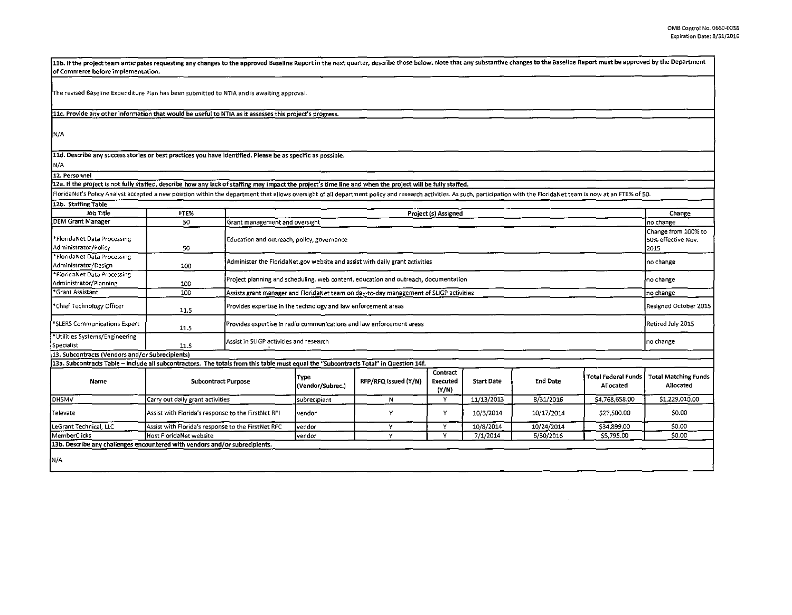| 11b. If the project team anticipates requesting any changes to the approved Baseline Report in the next quarter, describe those below. Note that any substantive changes to the Baseline Report must be approved by the Depart<br>of Commerce before implementation. |                                                    |                                                                                        |                            |                      |                               |                   |                 |                                  |                                                   |  |
|----------------------------------------------------------------------------------------------------------------------------------------------------------------------------------------------------------------------------------------------------------------------|----------------------------------------------------|----------------------------------------------------------------------------------------|----------------------------|----------------------|-------------------------------|-------------------|-----------------|----------------------------------|---------------------------------------------------|--|
| The revised Baseline Expenditure Plan has been submitted to NTIA and is awaiting approval.                                                                                                                                                                           |                                                    |                                                                                        |                            |                      |                               |                   |                 |                                  |                                                   |  |
| 11c. Provide any other information that would be useful to NTIA as it assesses this project's progress.                                                                                                                                                              |                                                    |                                                                                        |                            |                      |                               |                   |                 |                                  |                                                   |  |
| IN/A                                                                                                                                                                                                                                                                 |                                                    |                                                                                        |                            |                      |                               |                   |                 |                                  |                                                   |  |
| 11d. Describe any success stories or best practices you have identified. Please be as specific as possible.                                                                                                                                                          |                                                    |                                                                                        |                            |                      |                               |                   |                 |                                  |                                                   |  |
| N/A                                                                                                                                                                                                                                                                  |                                                    |                                                                                        |                            |                      |                               |                   |                 |                                  |                                                   |  |
| 12. Personnel                                                                                                                                                                                                                                                        |                                                    |                                                                                        |                            |                      |                               |                   |                 |                                  |                                                   |  |
| 12a. If the project is not fully staffed, describe how any lack of staffing may impact the project's time line and when the project will be fully staffed.                                                                                                           |                                                    |                                                                                        |                            |                      |                               |                   |                 |                                  |                                                   |  |
| FloridaNet's Policy Analyst accepted a new position within the department that allows oversight of all department policy and research activities. As such, participation with the FloridaNet team is now at an FTE% of 50.                                           |                                                    |                                                                                        |                            |                      |                               |                   |                 |                                  |                                                   |  |
| 12b. Staffing Table                                                                                                                                                                                                                                                  |                                                    |                                                                                        |                            |                      |                               |                   |                 |                                  |                                                   |  |
| Job Title                                                                                                                                                                                                                                                            | FTE%<br>Project (s) Assigned                       |                                                                                        |                            |                      |                               |                   |                 |                                  |                                                   |  |
| <b>DEM Grant Manager</b>                                                                                                                                                                                                                                             | 50                                                 | Grant management and oversight                                                         |                            |                      |                               |                   |                 |                                  | Change<br>no change                               |  |
| *FloridaNet Data Processing<br>Administrator/Policy                                                                                                                                                                                                                  | 50                                                 | Education and outreach, policy, governance                                             |                            |                      |                               |                   |                 |                                  | Change from 100% to<br>50% effective Nov.<br>2015 |  |
| *FloridaNet Data Processing<br>Administrator/Design                                                                                                                                                                                                                  | 100                                                | Administer the FloridaNet.gov website and assist with daily grant activities           |                            |                      |                               |                   |                 |                                  |                                                   |  |
| *FloridaNet Data Processing<br>Administrator/Planning                                                                                                                                                                                                                | 100                                                | Project planning and scheduling, web content, education and outreach, documentation    |                            |                      |                               |                   |                 |                                  |                                                   |  |
| "Grant Assistant                                                                                                                                                                                                                                                     | 100                                                | Assists grant manager and FloridaNet team on day-to-day management of SLIGP activities |                            |                      |                               |                   |                 |                                  |                                                   |  |
| *Chief Technology Officer                                                                                                                                                                                                                                            | 11.5                                               | Provides expertise in the technology and law enforcement areas                         |                            |                      |                               |                   |                 |                                  |                                                   |  |
| SLERS Communications Expert                                                                                                                                                                                                                                          | 11.5                                               | Provides expertise in radio communications and law enforcement areas                   |                            |                      |                               |                   |                 |                                  |                                                   |  |
| *Utilities Systems/Engineering<br> Specialist                                                                                                                                                                                                                        | 11.5                                               | Assist in SLIGP activities and research                                                |                            |                      |                               |                   |                 |                                  |                                                   |  |
| 13. Subcontracts (Vendors and/or Subrecipients)                                                                                                                                                                                                                      |                                                    |                                                                                        |                            |                      |                               |                   |                 |                                  |                                                   |  |
| 13a. Subcontracts Table - Include all subcontractors. The totals from this table must equal the "Subcontracts Total" in Question 14f.                                                                                                                                |                                                    |                                                                                        |                            |                      |                               |                   |                 |                                  |                                                   |  |
| Name                                                                                                                                                                                                                                                                 | <b>Subcontract Purpose</b>                         |                                                                                        | i'ype.<br>(Vendor/Subrec.) | RFP/RFQ Issued (Y/N) | Contract<br>Executed<br>(Y/N) | <b>Start Date</b> | <b>End Date</b> | Total Federal Funds<br>Allocated | <b>Total Matching Funds</b><br>Allocated          |  |
| <b>DHSMV</b>                                                                                                                                                                                                                                                         | Carry out daily grant activities                   |                                                                                        | subrecipient               | N                    | Y                             | 11/13/2013        | 8/31/2016       | \$4,768,658.00                   | \$1,229,010.00                                    |  |
| Televate                                                                                                                                                                                                                                                             | Assist with Florida's response to the FirstNet RFI |                                                                                        | vendor                     | Y                    | Y                             | 10/3/2014         | 10/17/2014      | \$27,500.00                      | \$0.00                                            |  |
| LeGrant Technical, LLC                                                                                                                                                                                                                                               | Assist with Florida's response to the FirstNet RFC |                                                                                        | vendor                     | Y                    | Y                             | 10/8/2014         | 10/24/2014      | \$34,899.00                      | \$0.00                                            |  |
| MemberClicks                                                                                                                                                                                                                                                         | Host FloridaNet website                            |                                                                                        | vendor                     | Y                    | Y                             | 7/1/2014          | 6/30/2016       | \$5,795.00                       | \$0.00                                            |  |
| 13b. Describe any challenges encountered with vendors and/or subrecipients.                                                                                                                                                                                          |                                                    |                                                                                        |                            |                      |                               |                   |                 |                                  |                                                   |  |
| N/A                                                                                                                                                                                                                                                                  |                                                    |                                                                                        |                            |                      |                               |                   |                 |                                  |                                                   |  |